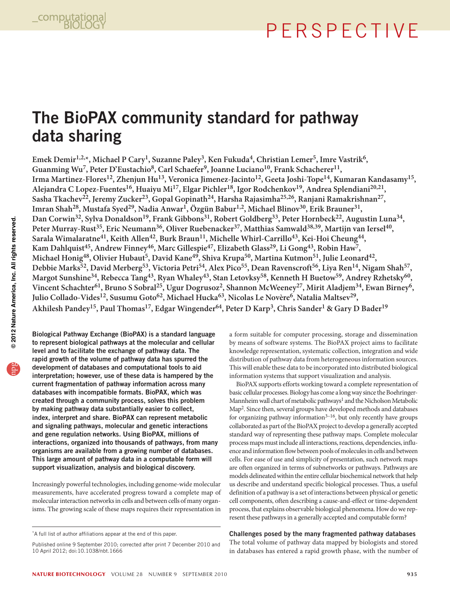# p e r s p e c t i v e

# The BioPAX community standard for pathway data sharing

Emek Demir<sup>1,2,</sup>\*, Michael P Cary<sup>1</sup>, Suzanne Paley<sup>3</sup>, Ken Fukuda<sup>4</sup>, Christian Lemer<sup>5</sup>, Imre Vastrik<sup>6</sup>, Guanming Wu<sup>7</sup>, Peter D'Eustachio<sup>8</sup>, Carl Schaefer<sup>9</sup>, Joanne Luciano<sup>10</sup>, Frank Schacherer<sup>11</sup>, Irma Martinez-Flores<sup>12</sup>, Zhenjun Hu<sup>13</sup>, Veronica Jimenez-Jacinto<sup>12</sup>, Geeta Joshi-Tope<sup>14</sup>, Kumaran Kandasamy<sup>15</sup>, Alejandra C Lopez-Fuentes<sup>16</sup>, Huaiyu Mi<sup>17</sup>, Elgar Pichler<sup>18</sup>, Igor Rodchenkov<sup>19</sup>, Andrea Splendiani<sup>20,21</sup>, Sasha Tkachev<sup>22</sup>, Jeremy Zucker<sup>23</sup>, Gopal Gopinath<sup>24</sup>, Harsha Rajasimha<sup>25,26</sup>, Ranjani Ramakrishnan<sup>27</sup>, Imran Shah<sup>28</sup>, Mustafa Syed<sup>29</sup>, Nadia Anwar<sup>1</sup>, Özgün Babur<sup>1,2</sup>, Michael Blinov<sup>30</sup>, Erik Brauner<sup>31</sup>, Dan Corwin<sup>32</sup>, Sylva Donaldson<sup>19</sup>, Frank Gibbons<sup>31</sup>, Robert Goldberg<sup>33</sup>, Peter Hornbeck<sup>22</sup>, Augustin Luna<sup>34</sup>, Peter Murray-Rust<sup>35</sup>, Eric Neumann<sup>36</sup>, Oliver Ruebenacker<sup>37</sup>, Matthias Samwald<sup>38,39</sup>, Martijn van Iersel<sup>40</sup>, Sarala Wimalaratne<sup>41</sup>, Keith Allen<sup>42</sup>, Burk Braun<sup>11</sup>, Michelle Whirl-Carrillo<sup>43</sup>, Kei-Hoi Cheung<sup>44</sup>, **Kam Dahlquist45, Andrew Finney46, Marc Gillespie47, Elizabeth Glass29, Li Gong43, Robin Haw7, Michael Honig48, Olivier Hubaut5, David Kane49, Shiva Krupa50, Martina Kutmon51, Julie Leonard42, Debbie Marks52, David Merberg53, Victoria Petri54, Alex Pico55, Dean Ravenscroft56, Liya Ren14, Nigam Shah57, Margot Sunshine34, Rebecca Tang43, Ryan Whaley43, Stan Letovksy58, Kenneth H Buetow59, Andrey Rzhetsky60,**  Vincent Schachter<sup>61</sup>, Bruno S Sobral<sup>25</sup>, Ugur Dogrusoz<sup>2</sup>, Shannon McWeeney<sup>27</sup>, Mirit Aladjem<sup>34</sup>, Ewan Birney<sup>6</sup>, Julio Collado-Vides<sup>12</sup>, Susumu Goto<sup>62</sup>, Michael Hucka<sup>63</sup>, Nicolas Le Novère<sup>6</sup>, Natalia Maltsev<sup>29</sup>, Akhilesh Pandey<sup>15</sup>, Paul Thomas<sup>17</sup>, Edgar Wingender<sup>64</sup>, Peter D Karp<sup>3</sup>, Chris Sander<sup>1</sup> & Gary D Bader<sup>19</sup>

Biological Pathway Exchange (BioPAX) is a standard language to represent biological pathways at the molecular and cellular level and to facilitate the exchange of pathway data. The rapid growth of the volume of pathway data has spurred the development of databases and computational tools to aid interpretation; however, use of these data is hampered by the current fragmentation of pathway information across many databases with incompatible formats. BioPAX, which was created through a community process, solves this problem by making pathway data substantially easier to collect, index, interpret and share. BioPAX can represent metabolic and signaling pathways, molecular and genetic interactions and gene regulation networks. Using BioPAX, millions of interactions, organized into thousands of pathways, from many organisms are available from a growing number of databases. This large amount of pathway data in a computable form will support visualization, analysis and biological discovery.

Increasingly powerful technologies, including genome-wide molecular measurements, have accelerated progress toward a complete map of molecular interaction networks in cells and between cells of many organisms. The growing scale of these maps requires their representation in a form suitable for computer processing, storage and dissemination by means of software systems. The BioPAX project aims to facilitate knowledge representation, systematic collection, integration and wide distribution of pathway data from heterogeneous information sources. This will enable these data to be incorporated into distributed biological information systems that support visualization and analysis.

BioPAX supports efforts working toward a complete representation of basic cellular processes. Biology has come a long way since the Boehringer-Mannheim wall chart of metabolic pathways<sup>1</sup> and the Nicholson Metabolic Map<sup>2</sup>. Since then, several groups have developed methods and databases for organizing pathway information $3-16$ , but only recently have groups collaborated as part of the BioPAX project to develop a generally accepted standard way of representing these pathway maps. Complete molecular process maps must include all interactions, reactions, dependencies, influence and information flow between pools of molecules in cells and between cells. For ease of use and simplicity of presentation, such network maps are often organized in terms of subnetworks or pathways. Pathways are models delineated within the entire cellular biochemical network that help us describe and understand specific biological processes. Thus, a useful definition of a pathway is a set of interactions between physical or genetic cell components, often describing a cause-and-effect or time-dependent process, that explains observable biological phenomena. How do we represent these pathways in a generally accepted and computable form?

### Challenges posed by the many fragmented pathway databases

The total volume of pathway data mapped by biologists and stored in databases has entered a rapid growth phase, with the number of

<sup>\*</sup>A full list of author affiliations appear at the end of this paper.

Published online 9 September 2010; corrected after print 7 December 2010 and 10 April 2012; [doi:10.1038/nbt.1666](http://www.nature.com/doifinder/10.1038/nbt.1666)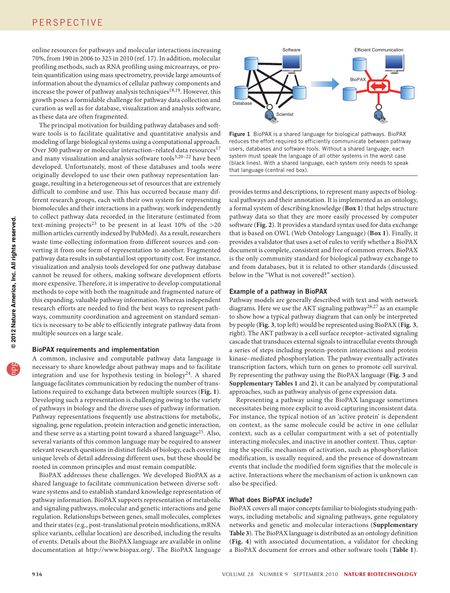online resources for pathways and molecular interactions increasing 70%, from 190 in 2006 to 325 in 2010 (ref. 17). In addition, molecular profiling methods, such as RNA profiling using microarrays, or protein quantification using mass spectrometry, provide large amounts of information about the dynamics of cellular pathway components and increase the power of pathway analysis techniques<sup>18,19</sup>. However, this growth poses a formidable challenge for pathway data collection and curation as well as for database, visualization and analysis software, as these data are often fragmented.

The principal motivation for building pathway databases and software tools is to facilitate qualitative and quantitative analysis and modeling of large biological systems using a computational approach. Over 300 pathway or molecular interaction–related data resources<sup>[17](#page-6-2)</sup> and many visualization and analysis software tools<sup>3,20-22</sup> have been developed. Unfortunately, most of these databases and tools were originally developed to use their own pathway representation language, resulting in a heterogeneous set of resources that are extremely difficult to combine and use. This has occurred because many different research groups, each with their own system for representing biomolecules and their interactions in a pathway, work independently to collect pathway data recorded in the literature (estimated from text-mining projects<sup>23</sup> to be present in at least 10% of the  $>20$ million articles currently indexed by PubMed). As a result, researchers waste time collecting information from different sources and converting it from one form of representation to another. Fragmented pathway data results in substantial lost opportunity cost. For instance, visualization and analysis tools developed for one pathway database cannot be reused for others, making software development efforts more expensive. Therefore, it is imperative to develop computational methods to cope with both the magnitude and fragmented nature of this expanding, valuable pathway information. Whereas independent research efforts are needed to find the best ways to represent pathways, community coordination and agreement on standard semantics is necessary to be able to efficiently integrate pathway data from multiple sources on a large scale.

#### BioPAX requirements and implementation

A common, inclusive and computable pathway data language is necessary to share knowledge about pathway maps and to facilitate integration and use for hypothesis testing in biology<sup>24</sup>. A shared language facilitates communication by reducing the number of translations required to exchange data between multiple sources (**[Fig. 1](#page-1-0)**). Developing such a representation is challenging owing to the variety of pathways in biology and the diverse uses of pathway information. Pathway representations frequently use abstractions for metabolic, signaling, gene regulation, protein interaction and genetic interaction, and these serve as a starting point toward a shared language<sup>[25](#page-6-5)</sup>. Also, several variants of this common language may be required to answer relevant research questions in distinct fields of biology, each covering unique levels of detail addressing different uses, but these should be rooted in common principles and must remain compatible.

BioPAX addresses these challenges. We developed BioPAX as a shared language to facilitate communication between diverse software systems and to establish standard knowledge representation of pathway information. BioPAX supports representation of metabolic and signaling pathways, molecular and genetic interactions and gene regulation. Relationships between genes, small molecules, complexes and their states (e.g., post-translational protein modifications, mRNA splice variants, cellular location) are described, including the results of events. Details about the BioPAX language are available in online documentation at [http://www.biopax.org/.](http://www.biopax.org/) The BioPAX language



<span id="page-1-0"></span>Figure 1 BioPAX is a shared language for biological pathways. BioPAX reduces the effort required to efficiently communicate between pathway users, databases and software tools. Without a shared language, each system must speak the language of all other systems in the worst case (black lines). With a shared language, each system only needs to speak that language (central red box).

provides terms and descriptions, to represent many aspects of biological pathways and their annotation. It is implemented as an ontology, a formal system of describing knowledge (**Box 1**) that helps structure pathway data so that they are more easily processed by computer software (**[Fig. 2](#page-2-0)**). It provides a standard syntax used for data exchange that is based on OWL (Web Ontology Language) (**Box 1**). Finally, it provides a validator that uses a set of rules to verify whether a BioPAX document is complete, consistent and free of common errors. BioPAX is the only community standard for biological pathway exchange to and from databases, but it is related to other standards (discussed below in the "What is not covered?" section).

#### Example of a pathway in BioPAX

Pathway models are generally described with text and with network diagrams. Here we use the AKT signaling pathway<sup>26,27</sup> as an example to show how a typical pathway diagram that can only be interpreted by people (**[Fig. 3](#page-3-0)**, top left) would be represented using BioPAX (**[Fig.](#page-3-0) 3**, right). The AKT pathway is a cell surface receptor– activated signaling cascade that transduces external signals to intracellular events through a series of steps including protein-protein interactions and protein kinase–mediated phosphorylation. The pathway eventually activates transcription factors, which turn on genes to promote cell survival. By representing the pathway using the BioPAX language (**[Fig. 3](#page-3-0)** and **Supplementary Tables 1** and **2**), it can be analyzed by computational approaches, such as pathway analysis of gene expression data.

Representing a pathway using the BioPAX language sometimes necessitates being more explicit to avoid capturing inconsistent data. For instance, the typical notion of an 'active protein' is dependent on context, as the same molecule could be active in one cellular context, such as a cellular compartment with a set of potentially interacting molecules, and inactive in another context. Thus, capturing the specific mechanism of activation, such as phosphorylation modification, is usually required, and the presence of downstream events that include the modified form signifies that the molecule is active. Interactions where the mechanism of action is unknown can also be specified.

#### What does BioPAX include?

BioPAX covers all major concepts familiar to biologists studying pathways, including metabolic and signaling pathways, gene regulatory networks and genetic and molecular interactions (**Supplementary Table 3**). The BioPAX language is distributed as an ontology definition (**[Fig. 4](#page-4-0)**) with associated documentation, a validator for checking a BioPAX document for errors and other software tools (**[Table 1](#page-3-1)**).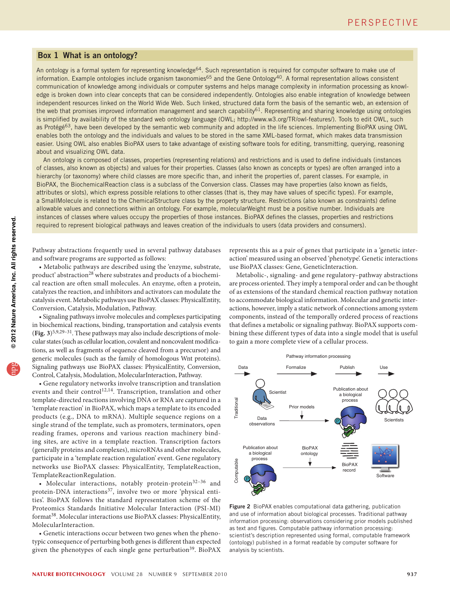### Box 1 What is an ontology?

An ontology is a formal system for representing knowledge<sup>64</sup>. Such representation is required for computer software to make use of information. Example ontologies include organism taxonomies<sup>65</sup> and the Gene Ontology<sup>40</sup>. A formal representation allows consistent communication of knowledge among individuals or computer systems and helps manage complexity in information processing as knowledge is broken down into clear concepts that can be considered independently. Ontologies also enable integration of knowledge between independent resources linked on the World Wide Web. Such linked, structured data form the basis of the semantic web, an extension of the web that promises improved information management and search capability<sup>[61](#page-7-5)</sup>. Representing and sharing knowledge using ontologies is simplified by availability of the standard web ontology language (OWL; [http://www.w3.org/TR/owl-features/\)](http://www.w3.org/TR/owl-features/). Tools to edit OWL, such as Protégé<sup>[63](#page-7-6)</sup>, have been developed by the semantic web community and adopted in the life sciences. Implementing BioPAX using OWL enables both the ontology and the individuals and values to be stored in the same XML-based format, which makes data transmission easier. Using OWL also enables BioPAX users to take advantage of existing software tools for editing, transmitting, querying, reasoning about and visualizing OWL data.

An ontology is composed of classes, properties (representing relations) and restrictions and is used to define individuals (instances of classes, also known as objects) and values for their properties. Classes (also known as concepts or types) are often arranged into a hierarchy (or taxonomy) where child classes are more specific than, and inherit the properties of, parent classes. For example, in BioPAX, the BiochemicalReaction class is a subclass of the Conversion class. Classes may have properties (also known as fields, attributes or slots), which express possible relations to other classes (that is, they may have values of specific types). For example, a SmallMolecule is related to the ChemicalStructure class by the property structure. Restrictions (also known as constraints) define allowable values and connections within an ontology. For example, molecularWeight must be a positive number. Individuals are instances of classes where values occupy the properties of those instances. BioPAX defines the classes, properties and restrictions required to represent biological pathways and leaves creation of the individuals to users (data providers and consumers).

Pathway abstractions frequently used in several pathway databases and software programs are supported as follows:

• Metabolic pathways are described using the 'enzyme, substrate, product' abstraction<sup>28</sup> where substrates and products of a biochemical reaction are often small molecules. An enzyme, often a protein, catalyzes the reaction, and inhibitors and activators can modulate the catalysis event. Metabolic pathways use BioPAX classes: PhysicalEntity, Conversion, Catalysis, Modulation, Pathway.

• Signaling pathways involve molecules and complexes participating in biochemical reactions, binding, transportation and catalysis events (**[Fig.](#page-3-0) 3**)5,9,29–31. These pathways may also include descriptions of molecular states (such as cellular location, covalent and noncovalent modifications, as well as fragments of sequence cleaved from a precursor) and generic molecules (such as the family of homologous Wnt proteins). Signaling pathways use BioPAX classes: PhysicalEntity, Conversion, Control, Catalysis, Modulation, MolecularInteraction, Pathway.

• Gene regulatory networks involve transcription and translation events and their control<sup>12,14</sup>. Transcription, translation and other template-directed reactions involving DNA or RNA are captured in a 'template reaction' in BioPAX, which maps a template to its encoded products (e.g., DNA to mRNA). Multiple sequence regions on a single strand of the template, such as promoters, terminators, open reading frames, operons and various reaction machinery binding sites, are active in a template reaction. Transcription factors (generally proteins and complexes), microRNAs and other molecules, participate in a 'template reaction regulation' event. Gene regulatory networks use BioPAX classes: PhysicalEntity, TemplateReaction, TemplateReactionRegulation.

• Molecular interactions, notably protein-protein $32-36$  and protein-DNA interactions<sup>37</sup>, involve two or more 'physical entities'. BioPAX follows the standard representation scheme of the Proteomics Standards Initiative Molecular Interaction (PSI-MI) format<sup>[38](#page-7-1)</sup>. Molecular interactions use BioPAX classes: PhysicalEntity, MolecularInteraction.

• Genetic interactions occur between two genes when the phenotypic consequence of perturbing both genes is different than expected given the phenotypes of each single gene perturbation<sup>39</sup>. BioPAX represents this as a pair of genes that participate in a 'genetic interaction' measured using an observed 'phenotype'. Genetic interactions use BioPAX classes: Gene, GeneticInteraction.

Metabolic-, signaling- and gene regulatory–pathway abstractions are process oriented. They imply a temporal order and can be thought of as extensions of the standard chemical reaction pathway notation to accommodate biological information. Molecular and genetic interactions, however, imply a static network of connections among system components, instead of the temporally ordered process of reactions that defines a metabolic or signaling pathway. BioPAX supports combining these different types of data into a single model that is useful to gain a more complete view of a cellular process.



<span id="page-2-0"></span>Figure 2 BioPAX enables computational data gathering, publication and use of information about biological processes. Traditional pathway information processing: observations considering prior models published as text and figures. Computable pathway information processing: scientist's description represented using formal, computable framework (ontology) published in a format readable by computer software for analysis by scientists.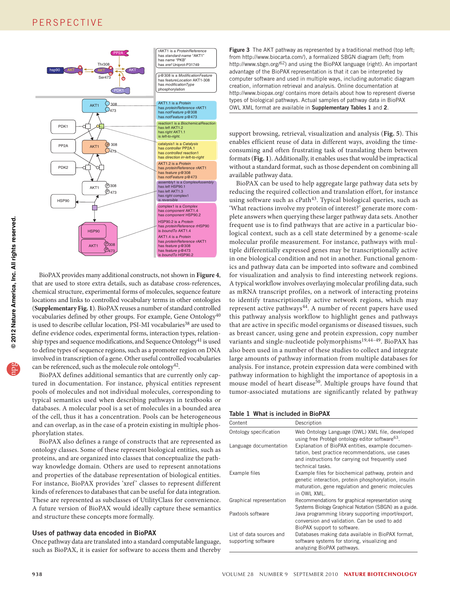

BioPAX provides many additional constructs, not shown in **[Figure 4](#page-4-0)**, that are used to store extra details, such as database cross-references, chemical structure, experimental forms of molecules, sequence feature locations and links to controlled vocabulary terms in other ontologies (**Supplementary Fig. 1**). BioPAX reuses a number of standard controlled vocabularies defined by other groups. For example, Gene Ontology<sup>[40](#page-7-7)</sup> is used to describe cellular location, PSI-MI vocabularies<sup>[38](#page-7-1)</sup> are used to define evidence codes, experimental forms, interaction types, relationship types and sequence modifications, and Sequence Ontology<sup>41</sup> is used to define types of sequence regions, such as a promoter region on DNA involved in transcription of a gene. Other useful controlled vocabularies can be referenced, such as the molecule role ontology<sup>42</sup>.

BioPAX defines additional semantics that are currently only captured in documentation. For instance, physical entities represent pools of molecules and not individual molecules, corresponding to typical semantics used when describing pathways in textbooks or databases. A molecular pool is a set of molecules in a bounded area of the cell, thus it has a concentration. Pools can be heterogeneous and can overlap, as in the case of a protein existing in multiple phosphorylation states.

BioPAX also defines a range of constructs that are represented as ontology classes. Some of these represent biological entities, such as proteins, and are organized into classes that conceptualize the pathway knowledge domain. Others are used to represent annotations and properties of the database representation of biological entities. For instance, BioPAX provides 'xref' classes to represent different kinds of references to databases that can be useful for data integration. These are represented as subclasses of UtilityClass for convenience. A future version of BioPAX would ideally capture these semantics and structure these concepts more formally.

### Uses of pathway data encoded in BioPAX

Once pathway data are translated into a standard computable language, such as BioPAX, it is easier for software to access them and thereby

<span id="page-3-0"></span>Figure 3 The AKT pathway as represented by a traditional method (top left; from [http://www.biocarta.com/\)](http://www.biocarta.com/), a formalized SBGN diagram (left; from <http://www.sbgn.org/><sup>[62](#page-7-13)</sup>) and using the BioPAX language (right). An important advantage of the BioPAX representation is that it can be interpreted by computer software and used in multiple ways, including automatic diagram creation, information retrieval and analysis. Online documentation at <http://www.biopax.org/> contains more details about how to represent diverse types of biological pathways. Actual samples of pathway data in BioPAX OWL XML format are available in Supplementary Tables 1 and 2.

support browsing, retrieval, visualization and analysis (**[Fig.](#page-4-1) 5**). This enables efficient reuse of data in different ways, avoiding the timeconsuming and often frustrating task of translating them between formats (**[Fig. 1](#page-1-0)**). Additionally, it enables uses that would be impractical without a standard format, such as those dependent on combining all available pathway data.

BioPAX can be used to help aggregate large pathway data sets by reducing the required collection and translation effort, for instance using software such as cPath<sup>43</sup>. Typical biological queries, such as 'What reactions involve my protein of interest?' generate more complete answers when querying these larger pathway data sets. Another frequent use is to find pathways that are active in a particular biological context, such as a cell state determined by a genome-scale molecular profile measurement. For instance, pathways with multiple differentially expressed genes may be transcriptionally active in one biological condition and not in another. Functional genomics and pathway data can be imported into software and combined for visualization and analysis to find interesting network regions. A typical workflow involves overlaying molecular profiling data, such as mRNA transcript profiles, on a network of interacting proteins to identify transcriptionally active network regions, which may represent active pathways<sup>44</sup>. A number of recent papers have used this pathway analysis workflow to highlight genes and pathways that are active in specific model organisms or diseased tissues, such as breast cancer, using gene and protein expression, copy number variants and single-nucleotide polymorphisms<sup>19,44-49</sup>. BioPAX has also been used in a number of these studies to collect and integrate large amounts of pathway information from multiple databases for analysis. For instance, protein expression data were combined with pathway information to highlight the importance of apoptosis in a mouse model of heart disease<sup>[50](#page-7-12)</sup>. Multiple groups have found that tumor-associated mutations are significantly related by pathway

<span id="page-3-1"></span>

|  |  |  |  | Table 1 What is included in BioPAX |  |  |  |
|--|--|--|--|------------------------------------|--|--|--|
|--|--|--|--|------------------------------------|--|--|--|

| Content                                         | Description                                                                                                                                                                     |
|-------------------------------------------------|---------------------------------------------------------------------------------------------------------------------------------------------------------------------------------|
| Ontology specification                          | Web Ontology Language (OWL) XML file, developed<br>using free Protégé ontology editor software <sup>63</sup> .                                                                  |
| Language documentation                          | Explanation of BioPAX entities, example documen-<br>tation, best practice recommendations, use cases<br>and instructions for carrying out frequently used<br>technical tasks.   |
| Example files                                   | Example files for biochemical pathway, protein and<br>genetic interaction, protein phosphorylation, insulin<br>maturation, gene regulation and generic molecules<br>in OWL XML. |
| Graphical representation                        | Recommendations for graphical representation using<br>Systems Biology Graphical Notation (SBGN) as a guide.                                                                     |
| Paxtools software                               | Java programming library supporting import/export,<br>conversion and validation. Can be used to add<br>BioPAX support to software.                                              |
| List of data sources and<br>supporting software | Databases making data available in BioPAX format,<br>software systems for storing, visualizing and<br>analyzing BioPAX pathways.                                                |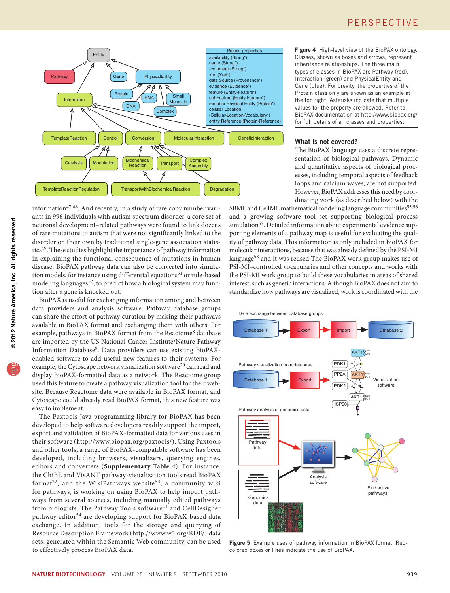

information $47,48$ . And recently, in a study of rare copy number variants in 996 individuals with autism spectrum disorder, a core set of neuronal development–related pathways were found to link dozens of rare mutations to autism that were not significantly linked to the disorder on their own by traditional single-gene association statistics[49.](#page-7-14) These studies highlight the importance of pathway information in explaining the functional consequence of mutations in human disease. BioPAX pathway data can also be converted into simulation models, for instance using differential equations<sup>51</sup> or rule-based modeling languages<sup>52</sup>, to predict how a biological system may function after a gene is knocked out.

BioPAX is useful for exchanging information among and between data providers and analysis software. Pathway database groups can share the effort of pathway curation by making their pathways available in BioPAX format and exchanging them with others. For example, pathways in BioPAX format from the Reactome<sup>[8](#page-6-7)</sup> database are imported by the US National Cancer Institute/Nature Pathway Information Database[9.](#page-6-8) Data providers can use existing BioPAXenabled software to add useful new features to their systems. For example, the Cytoscape network visualization software<sup>[20](#page-6-9)</sup> can read and display BioPAX-formatted data as a network. The Reactome group used this feature to create a pathway visualization tool for their website. Because Reactome data were available in BioPAX format, and Cytoscape could already read BioPAX format, this new feature was easy to implement.

The Paxtools Java programming library for BioPAX has been developed to help software developers readily support the import, export and validation of BioPAX-formatted data for various uses in their software (<http://www.biopax.org/paxtools/>). Using Paxtools and other tools, a range of BioPAX-compatible software has been developed, including browsers, visualizers, querying engines, editors and converters (**Supplementary Table 4**). For instance, the ChiBE and VisANT pathway-visualization tools read BioPAX format<sup>22</sup>, and the WikiPathways website<sup>53</sup>, a community wiki for pathways, is working on using BioPAX to help import pathways from several sources, including manually edited pathways from biologists. The Pathway Tools software<sup>21</sup> and CellDesigner pathway editor<sup>54</sup> are developing support for BioPAX-based data exchange. In addition, tools for the storage and querying of Resource Description Framework (<http://www.w3.org/RDF/>) data sets, generated within the Semantic Web community, can be used to effectively process BioPAX data.

<span id="page-4-0"></span>Figure 4 High-level view of the BioPAX ontology. Classes, shown as boxes and arrows, represent inheritance relationships. The three main types of classes in BioPAX are Pathway (red), Interaction (green) and PhysicalEntity and Gene (blue). For brevity, the properties of the Protein class only are shown as an example at the top right. Asterisks indicate that multiple values for the property are allowed. Refer to BioPAX documentation at <http://www.biopax.org/> for full details of all classes and properties.

### What is not covered?

The BioPAX language uses a discrete representation of biological pathways. Dynamic and quantitative aspects of biological processes, including temporal aspects of feedback loops and calcium waves, are not supported. However, BioPAX addresses this need by coordinating work (as described below) with the

SBML and CellML mathematical modeling language communities<sup>55,56</sup> and a growing software tool set supporting biological process simulation<sup>[57](#page-7-19)</sup>. Detailed information about experimental evidence supporting elements of a pathway map is useful for evaluating the quality of pathway data. This information is only included in BioPAX for molecular interactions, because that was already defined by the PSI-MI language<sup>58</sup> and it was reused The BioPAX work group makes use of PSI-MI–controlled vocabularies and other concepts and works with the PSI-MI work group to build these vocabularies in areas of shared interest, such as genetic interactions. Although BioPAX does not aim to standardize how pathways are visualized, work is coordinated with the



<span id="page-4-1"></span>Figure 5 Example uses of pathway information in BioPAX format. Redcolored boxes or lines indicate the use of BioPAX.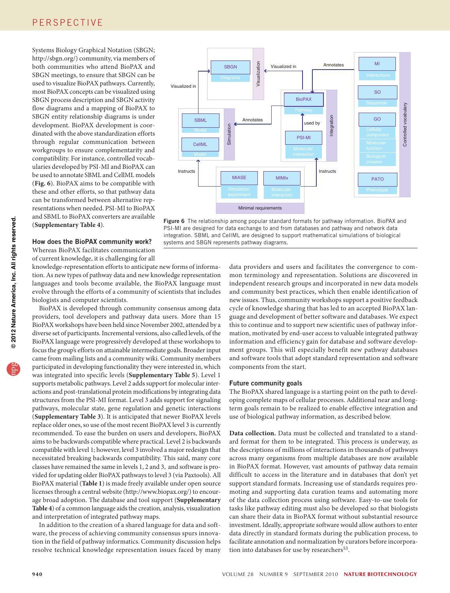## PER SPECTIVE

Systems Biology Graphical Notation (SBGN; [http://sbgn.org/\)](http://sbgn.org/) community, via members of both communities who attend BioPAX and SBGN meetings, to ensure that SBGN can be used to visualize BioPAX pathways. Currently, most BioPAX concepts can be visualized using SBGN process description and SBGN activity flow diagrams and a mapping of BioPAX to SBGN entity relationship diagrams is under development. BioPAX development is coordinated with the above standardization efforts through regular communication between workgroups to ensure complementarity and compatibility. For instance, controlled vocabularies developed by PSI-MI and BioPAX can be used to annotate SBML and CellML models (**[Fig.](#page-5-0) 6**). BioPAX aims to be compatible with these and other efforts, so that pathway data can be transformed between alternative representations when needed. PSI-MI to BioPAX and SBML to BioPAX converters are available (**Supplementary Table 4**).



<span id="page-5-0"></span>Figure 6 The relationship among popular standard formats for pathway information. BioPAX and PSI-MI are designed for data exchange to and from databases and pathway and network data integration. SBML and CellML are designed to support mathematical simulations of biological systems and SBGN represents pathway diagrams.

# How does the BioPAX community work?

Whereas BioPAX facilitates communication of current knowledge, it is challenging for all

knowledge-representation efforts to anticipate new forms of information. As new types of pathway data and new knowledge representation languages and tools become available, the BioPAX language must evolve through the efforts of a community of scientists that includes biologists and computer scientists.

BioPAX is developed through community consensus among data providers, tool developers and pathway data users. More than 15 BioPAX workshops have been held since November 2002, attended by a diverse set of participants. Incremental versions, also called levels, of the BioPAX language were progressively developed at these workshops to focus the group's efforts on attainable intermediate goals. Broader input came from mailing lists and a community wiki. Community members participated in developing functionality they were interested in, which was integrated into specific levels (**Supplementary Table 5**). Level 1 supports metabolic pathways. Level 2 adds support for molecular interactions and post-translational protein modifications by integrating data structures from the PSI-MI format. Level 3 adds support for signaling pathways, molecular state, gene regulation and genetic interactions (**Supplementary Table 3**). It is anticipated that newer BioPAX levels replace older ones, so use of the most recent BioPAX level 3 is currently recommended. To ease the burden on users and developers, BioPAX aims to be backwards compatible where practical. Level 2 is backwards compatible with level 1; however, level 3 involved a major redesign that necessitated breaking backwards compatibility. This said, many core classes have remained the same in levels 1, 2 and 3, and software is provided for updating older BioPAX pathways to level 3 (via Paxtools). All BioPAX material (**[Table 1](#page-3-1)**) is made freely available under open source licenses through a central website ([http://www.biopax.org/\)](http://www.biopax.org/) to encourage broad adoption. The database and tool support (**Supplementary Table 4**) of a common language aids the creation, analysis, visualization and interpretation of integrated pathway maps.

In addition to the creation of a shared language for data and software, the process of achieving community consensus spurs innovation in the field of pathway informatics. Community discussion helps resolve technical knowledge representation issues faced by many

data providers and users and facilitates the convergence to common terminology and representation. Solutions are discovered in independent research groups and incorporated in new data models and community best practices, which then enable identification of new issues. Thus, community workshops support a positive feedback cycle of knowledge sharing that has led to an accepted BioPAX language and development of better software and databases. We expect this to continue and to support new scientific uses of pathway information, motivated by end-user access to valuable integrated pathway information and efficiency gain for database and software development groups. This will especially benefit new pathway databases and software tools that adopt standard representation and software components from the start.

### Future community goals

The BioPAX shared language is a starting point on the path to developing complete maps of cellular processes. Additional near and longterm goals remain to be realized to enable effective integration and use of biological pathway information, as described below.

**Data collection.** Data must be collected and translated to a standard format for them to be integrated. This process is underway, as the descriptions of millions of interactions in thousands of pathways across many organisms from multiple databases are now available in BioPAX format. However, vast amounts of pathway data remain difficult to access in the literature and in databases that don't yet support standard formats. Increasing use of standards requires promoting and supporting data curation teams and automating more of the data collection process using software. Easy-to-use tools for tasks like pathway editing must also be developed so that biologists can share their data in BioPAX format without substantial resource investment. Ideally, appropriate software would allow authors to enter data directly in standard formats during the publication process, to facilitate annotation and normalization by curators before incorporation into databases for use by researchers<sup>53</sup>.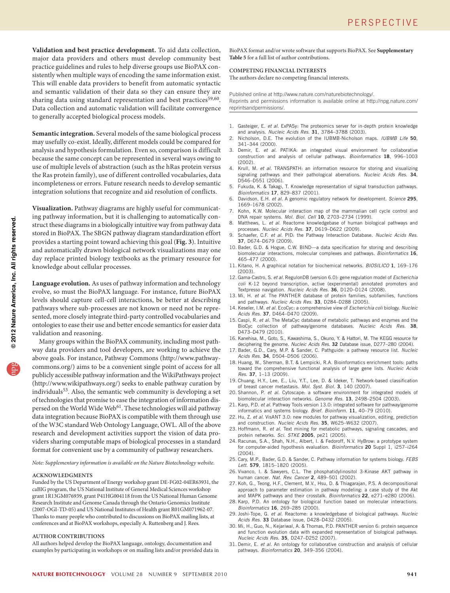**Validation and best practice development.** To aid data collection, major data providers and others must develop community best practice guidelines and rules to help diverse groups use BioPAX consistently when multiple ways of encoding the same information exist. This will enable data providers to benefit from automatic syntactic and semantic validation of their data so they can ensure they are sharing data using standard representation and best practices<sup>59,60</sup>. Data collection and automatic validation will facilitate convergence to generally accepted biological process models.

**Semantic integration.** Several models of the same biological process may usefully co-exist. Ideally, different models could be compared for analysis and hypothesis formulation. Even so, comparison is difficult because the same concept can be represented in several ways owing to use of multiple levels of abstraction (such as the hRas protein versus the Ras protein family), use of different controlled vocabularies, data incompleteness or errors. Future research needs to develop semantic integration solutions that recognize and aid resolution of conflicts.

**Visualization.** Pathway diagrams are highly useful for communicating pathway information, but it is challenging to automatically construct these diagrams in a biologically intuitive way from pathway data stored in BioPAX. The SBGN pathway diagram standardization effort provides a starting point toward achieving this goal (**[Fig. 3](#page-3-0)**). Intuitive and automatically drawn biological network visualizations may one day replace printed biology textbooks as the primary resource for knowledge about cellular processes.

**Language evolution.** As uses of pathway information and technology evolve, so must the BioPAX language. For instance, future BioPAX levels should capture cell-cell interactions, be better at describing pathways where sub-processes are not known or need not be represented, more closely integrate third-party controlled vocabularies and ontologies to ease their use and better encode semantics for easier data validation and reasoning.

Many groups within the BioPAX community, including most pathway data providers and tool developers, are working to achieve the above goals. For instance, Pathway Commons [\(http://www.pathway](http://www.pathwaycommons.org/)[commons.org/\)](http://www.pathwaycommons.org/) aims to be a convenient single point of access for all publicly accessible pathway information and the WikiPathways project (<http://www.wikipathways.org/>) seeks to enable pathway curation by individuals<sup>53</sup>. Also, the semantic web community is developing a set of technologies that promise to ease the integration of information dispersed on the World Wide Web[61](#page-7-5). These technologies will aid pathway data integration because BioPAX is compatible with them through use of the W3C standard Web Ontology Language, OWL. All of the above research and development activities support the vision of data providers sharing computable maps of biological processes in a standard format for convenient use by a community of pathway researchers.

*Note: Supplementary information is available on the Nature [Biotechnology](http://www.nature.com/naturebiotechnology/) website.*

#### **Acknowledgments**

Funded by the US Department of Energy workshop grant DE-FG02-04ER63931, the caBIG program, the US National Institute of General Medical Sciences workshop grant 1R13GM076939, grant P41HG004118 from the US National Human Genome Research Institute and Genome Canada through the Ontario Genomics Institute (2007-OGI-TD-05) and US National Institutes of Health grant R01GM071962-07. Thanks to many people who contributed to discussions on BioPAX mailing lists, at conferences and at BioPAX workshops, especially A. Ruttenberg and J. Rees.

#### **Author contributions**

All authors helped develop the BioPAX language, ontology, documentation and examples by participating in workshops or on mailing lists and/or provided data in

BioPAX format and/or wrote software that supports BioPAX. See **Supplementary Table 5** for a full list of author contributions.

#### **COMPETING FINANCIAL INTERESTS**

The authors declare no competing financial interests.

Published online at http://www.nature.com/naturebiotechnology/. Reprints and permissions information is available online at http://npg.nature.com/ reprintsandpermissions/.

- <span id="page-6-0"></span>1. Gasteiger, E. *et al.* ExPASy: The proteomics server for in-depth protein knowledge and analysis. *Nucleic Acids Res.* 31, 3784–3788 (2003).
- <span id="page-6-1"></span>2. Nicholson, D.E. The evolution of the IUBMB-Nicholson maps. *IUBMB Life* 50, 341–344 (2000).
- 3. Demir, E. *et al.* PATIKA: an integrated visual environment for collaborative construction and analysis of cellular pathways. *Bioinformatics* 18, 996–1003 (2002).
- 4. Krull, M. *et al.* TRANSPATH: an information resource for storing and visualizing signaling pathways and their pathological aberrations. *Nucleic Acids Res.* 34, D546–D551 (2006).
- 5. Fukuda, K. & Takagi, T. Knowledge representation of signal transduction pathways. *Bioinformatics* 17, 829–837 (2001).
- 6. Davidson, E.H. *et al.* A genomic regulatory network for development. *Science* 295, 1669–1678 (2002).
- 7. Kohn, K.W. Molecular interaction map of the mammalian cell cycle control and DNA repair systems. *Mol. Biol. Cell* 10, 2703–2734 (1999).
- <span id="page-6-7"></span>8. Matthews, L. *et al.* Reactome knowledgebase of human biological pathways and processes. *Nucleic Acids Res.* 37, D619–D622 (2009).
- <span id="page-6-8"></span>9. Schaefer, C.F. *et al.* PID: the Pathway Interaction Database. *Nucleic Acids Res.* 37, D674–D679 (2009).
- 10. Bader, G.D. & Hogue, C.W. BIND—a data specification for storing and describing biomolecular interactions, molecular complexes and pathways. *Bioinformatics* 16, 465–477 (2000).
- 11. Kitano, H. A graphical notation for biochemical networks. *BIOSILICO* 1, 169–176 (2003).
- 12. Gama-Castro, S. *et al.* RegulonDB (version 6.0): gene regulation model of *Escherichia coli* K-12 beyond transcription, active (experimental) annotated promoters and Textpresso navigation. *Nucleic Acids Res.* 36, D120–D124 (2008).
- 13. Mi, H. *et al.* The PANTHER database of protein families, subfamilies, functions and pathways. *Nucleic Acids Res.* 33, D284–D288 (2005).
- 14. Keseler, I.M. *et al.* EcoCyc: a comprehensive view of *Escherichia coli* biology. *Nucleic Acids Res.* 37, D464–D470 (2009).
- 15. Caspi, R. *et al.* The MetaCyc database of metabolic pathways and enzymes and the BioCyc collection of pathway/genome databases. *Nucleic Acids Res.* 38, D473–D479 (2010).
- 16. Kanehisa, M., Goto, S., Kawashima, S., Okuno, Y. & Hattori, M. The KEGG resource for deciphering the genome. *Nucleic Acids Res.* 32 Database issue, D277–280 (2004).
- <span id="page-6-2"></span>17. Bader, G.D., Cary, M.P. & Sander, C. Pathguide: a pathway resource list. *Nucleic Acids Res.* 34, D504–D506 (2006).
- 18. Huang, W., Sherman, B.T. & Lempicki, R.A. Bioinformatics enrichment tools: paths toward the comprehensive functional analysis of large gene lists. *Nucleic Acids Res.* 37, 1–13 (2009).
- 19. Chuang, H.Y., Lee, E., Liu, Y.T., Lee, D. & Ideker, T. Network-based classification of breast cancer metastasis. *Mol. Syst. Biol.* 3, 140 (2007).
- <span id="page-6-9"></span>20. Shannon, P. *et al.* Cytoscape: a software environment for integrated models of biomolecular interaction networks. *Genome Res.* 13, 2498–2504 (2003).
- <span id="page-6-11"></span>21. Karp, P.D. *et al.* Pathway Tools version 13.0: integrated software for pathway/genome informatics and systems biology. *Brief. Bioinform.* 11, 40–79 (2010).
- <span id="page-6-10"></span>22. Hu, Z. *et al.* VisANT 3.0: new modules for pathway visualization, editing, prediction and construction. *Nucleic Acids Res.* 35, W625–W632 (2007).
- <span id="page-6-3"></span>23. Hoffmann, R. *et al.* Text mining for metabolic pathways, signaling cascades, and protein networks. *Sci. STKE* 2005, pe21 (2005).
- <span id="page-6-4"></span>24. Racunas, S.A., Shah, N.H., Albert, I. & Fedoroff, N.V. HyBrow: a prototype system for computer-aided hypothesis evaluation. *Bioinformatics* 20 Suppl 1, i257–i264 (2004).
- <span id="page-6-5"></span>25. Cary, M.P., Bader, G.D. & Sander, C. Pathway information for systems biology. *FEBS Lett.* 579, 1815–1820 (2005).
- 26. Vivanco, I. & Sawyers, C.L. The phosphatidylinositol 3-Kinase AKT pathway in human cancer. *Nat. Rev. Cancer* 2, 489–501 (2002).
- 27. Koh, G., Teong, H.F., Clement, M.V., Hsu, D. & Thiagarajan, P.S. A decompositional approach to parameter estimation in pathway modeling: a case study of the Akt and MAPK pathways and their crosstalk. *Bioinformatics* 22, e271–e280 (2006).
- <span id="page-6-6"></span>28. Karp, P.D. An ontology for biological function based on molecular interactions. *Bioinformatics* 16, 269–285 (2000).
- 29. Joshi-Tope, G. *et al.* Reactome: a knowledgebase of biological pathways. *Nucleic Acids Res.* 33 Database issue, D428–D432 (2005).
- 30. Mi, H., Guo, N., Kejariwal, A. & Thomas, P.D. PANTHER version 6: protein sequence and function evolution data with expanded representation of biological pathways. *Nucleic Acids Res.* 35, D247–D252 (2007).
- 31. Demir, E. *et al.* An ontology for collaborative construction and analysis of cellular pathways. *Bioinformatics* 20, 349–356 (2004).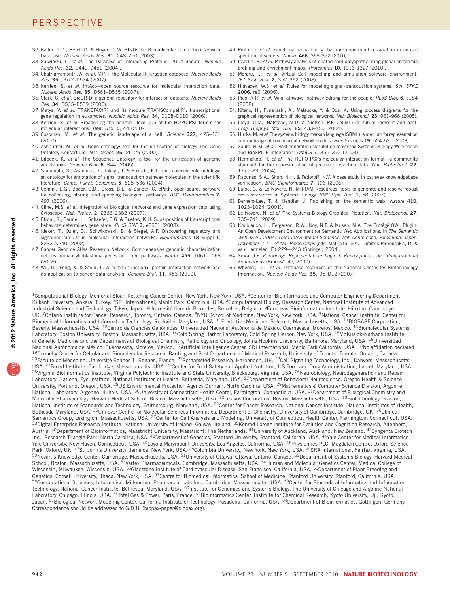- 32. Bader, G.D., Betel, D. & Hogue, C.W. BIND: the Biomolecular Interaction Network Database. *Nucleic Acids Res.* 31, 248–250 (2003).
- 33. Salwinski, L. *et al.* The Database of Interacting Proteins: 2004 update. *Nucleic Acids Res.* 32, D449–D451 (2004).
- 34. Chatr-aryamontri, A. *et al.* MINT: the Molecular INTeraction database. *Nucleic Acids Res.* 35, D572–D574 (2007).
- 35. Kerrien, S. *et al.* IntAct—open source resource for molecular interaction data. *Nucleic Acids Res.* 35, D561–D565 (2007).
- 36. Stark, C. *et al.* BioGRID: a general repository for interaction datasets. *Nucleic Acids Res.* 34, D535–D539 (2006).
- <span id="page-7-0"></span>37. Matys, V. *et al.* TRANSFAC(R) and its module TRANSCompel(R): transcriptional gene regulation in eukaryotes. *Nucleic Acids Res.* 34, D108–D110 (2006).
- <span id="page-7-1"></span>38. Kerrien, S. *et al.* Broadening the horizon—level 2.5 of the HUPO-PSI format for molecular interactions. *BMC Biol.* 5, 44 (2007).
- <span id="page-7-2"></span>39. Costanzo, M. *et al.* The genetic landscape of a cell. *Science* 327, 425–431 (2010).
- <span id="page-7-7"></span>40. Ashburner, M. *et al.* Gene ontology: tool for the unification of biology. The Gene Ontology Consortium. *Nat. Genet.* 25, 25–29 (2000).
- <span id="page-7-8"></span>41. Eilbeck, K. *et al.* The Sequence Ontology: a tool for the unification of genome annotations. *Genome Biol.* 6, R44 (2005).
- <span id="page-7-9"></span>42. Yamamoto, S., Asanuma, T., Takagi, T. & Fukuda, K.I. The molecule role ontology: an ontology for annotation of signal transduction pathway molecules in the scientific literature. *Comp. Funct. Genomics* 5, 528–536 (2004).
- <span id="page-7-10"></span>43. Cerami, E.G., Bader, G.D., Gross, B.E. & Sander, C. cPath: open source software for collecting, storing, and querying biological pathways. *BMC Bioinformatics* 7, 497 (2006).
- <span id="page-7-11"></span>44. Cline, M.S. *et al.* Integration of biological networks and gene expression data using Cytoscape. *Nat. Protoc.* 2, 2366–2382 (2007).
- 45. Efroni, S., Carmel, L., Schaefer, C.G. & Buetow, K.H. Superposition of transcriptional behaviors determines gene state. *PLoS ONE* 3, e2901 (2008).
- 46. Ideker, T., Ozier, O., Schwikowski, B. & Siegel, A.F. Discovering regulatory and signalling circuits in molecular interaction networks. *Bioinformatics* 18 Suppl 1, S233–S240 (2002).
- 47. Cancer Genome Atlas Research Network. Comprehensive genomic characterization defines human glioblastoma genes and core pathways. *Nature* 455, 1061–1068 (2008).
- 48. Wu, G., Feng, X. & Stein, L. A human functional protein interaction network and its application to cancer data analysis. *Genome Biol.* 11, R53 (2010).
- <span id="page-7-14"></span>49. Pinto, D. *et al.* Functional impact of global rare copy number variation in autism spectrum disorders. *Nature* 466, 368–372 (2010).
- <span id="page-7-12"></span>50. Isserlin, R. *et al.* Pathway analysis of dilated cardiomyopathy using global proteomic profiling and enrichment maps. *Proteomics* 10, 1316–1327 (2010).
- <span id="page-7-15"></span>51. Moraru, I.I. *et al.* Virtual Cell modelling and simulation software environment. *IET Syst. Biol.* 2, 352–362 (2008).
- <span id="page-7-16"></span>52. Hlavacek, W.S. *et al.* Rules for modeling signal-transduction systems. *Sci. STKE* 2006, re6 (2006).
- <span id="page-7-17"></span>53. Pico, A.R. *et al.* WikiPathways: pathway editing for the people. *PLoS Biol.* 6, e184 (2008).
- <span id="page-7-18"></span>54. Kitano, H., Funahashi, A., Matsuoka, Y. & Oda, K. Using process diagrams for the graphical representation of biological networks. *Nat. Biotechnol.* 23, 961–966 (2005).
- 55. Lloyd, C.M., Halstead, M.D. & Nielsen, P.F. CellML: its future, present and past. *Prog. Biophys. Mol. Biol.* 85, 433–450 (2004).
- 56. Hucka, M. *et al.* The systems biology markup language (SBML): a medium for representation and exchange of biochemical network models. *Bioinformatics* 19, 524–531 (2003).
- <span id="page-7-19"></span>57. Sauro, H.M. *et al.* Next generation simulation tools: the Systems Biology Workbench and BioSPICE integration. *OMICS* 7, 355–372 (2003).
- <span id="page-7-20"></span>58. Hermjakob, H. *et al.* The HUPO PSI's molecular interaction format—a community standard for the representation of protein interaction data. *Nat. Biotechnol.* 22, 177–183 (2004).
- 59. Racunas, S.A., Shah, N.H. & Fedoroff, N.V. A case study in pathway knowledgebase verification. *BMC Bioinformatics* 7, 196 (2006).
- 60. Laibe, C. & Le Novere, N. MIRIAM Resources: tools to generate and resolve robust cross-references in Systems Biology. *BMC Syst. Biol.* 1, 58 (2007).
- <span id="page-7-5"></span>61. Berners-Lee, T. & Hendler, J. Publishing on the semantic web. *Nature* 410, 1023–1024 (2001).
- <span id="page-7-6"></span>62. Le Novere, N. *et al.* The Systems Biology Graphical Notation. *Nat. Biotechnol.* 27, 735–741 (2009).
- <span id="page-7-13"></span>63. Knublauch, H., Fergerson, R.W., Noy, N.F. & Musen, M.A. The Protégé OWL Plugin: An Open Development Environment for Semantic Web Applications. in *The Semantic Web–ISWC 2004: Third International Semantic Web Conference, Hiroshima, Japan, November 7-11, 2004: Proceedings* (eds. McIlraith, S.A., Dimitris Plexousakis, D. & van Harmelen, F.) 229—243 (Springer, 2004).
- <span id="page-7-3"></span>64. Sowa, J.F. *Knowledge Representation: Logical, Philosophical, and Computational Foundations* (Brooks/Cole, 2000).
- <span id="page-7-4"></span>65. Wheeler, D.L. *et al.* Database resources of the National Center for Biotechnology Information. *Nucleic Acids Res.* 35, D5–D12 (2007).

<sup>1</sup>Computational Biology, Memorial Sloan-Kettering Cancer Center, New York, New York, USA. <sup>2</sup>Center for Bioinformatics and Computer Engineering Department, Bilkent University, Ankara, Turkey. <sup>3</sup>SRI International, Menlo Park, California, USA. <sup>4</sup>Computational Biology Research Center, National Institute of Advanced Industrial Science and Technology, Tokyo, Japan. <sup>5</sup>Université libre de Bruxelles, Bruxelles, Belgium. <sup>6</sup>European Bioinformatics Institute, Hinxton, Cambridge, UK. 7Ontario Institute for Cancer Research, Toronto, Ontario, Canada. 8NYU School of Medicine, New York, New York, USA. 9National Cancer Institute, Center for Biomedical Informatics and Information Technology, Rockville, Maryland, USA. 10Predictive Medicine, Belmont, Massachusetts, USA. 11BIOBASE Corporation, Beverly, Massachusetts, USA. <sup>12</sup>Centro de Ciencias Genómicas, Universidad Nacional Autónoma de México, Cuernavaca, Morelos, Mexico. <sup>13</sup>Biomolecular Systems Laboratory, Boston University, Boston, Massachusetts, USA. <sup>14</sup>Cold Spring Harbor Laboratory, Cold Spring Harbor, New York, USA. <sup>15</sup>McKusick-Nathans Institute of Genetic Medicine and the Departments of Biological Chemistry, Pathology and Oncology, Johns Hopkins University, Baltimore, Maryland, USA. <sup>16</sup>Universidad<br>Nacional Autónoma de México, Cuernavaca, Morelos, Mexico. <sup>17</sup>Art <sup>19</sup>Donnelly Center for Cellular and Biomolecular Research, Banting and Best Department of Medical Research, University of Toronto, Toronto, Ontario, Canada.<br><sup>20</sup>Faculté de Médecine, Université Rennes 1, Rennes, France. <sup>2</sup> <sup>25</sup>Virginia Bioinformatics Institute, Virginia Polytechnic Institute and State University, Blacksburg, Virginia, USA. <sup>26</sup>Neurobiology, Neurodegeneration and Repair Laboratory, National Eye Institute, National Institutes of Health, Bethesda, Maryland, USA. <sup>27</sup>Department of Behavioral Neuroscience. Oregon Health & Science University, Portland, Oregon, USA. 28US Environmental Protection Agency Durham, North Carolina, USA. 29Mathematics & Computer Science Division, Argonne National Laboratory, Argonne, Illinois, USA. <sup>30</sup>University of Connecticut Health Center, Farmington, Connecticut, USA. <sup>31</sup>Department of Biological Chemistry and Molecular Pharmacology, Harvard Medical School, Boston, Massachusetts, USA. <sup>32</sup>Lexikos Corporation, Boston, Massachusetts, USA. <sup>33</sup>Biotechnology Division, Molecular Pharmacology, Harvard Medical School, Boston, Massachus National Institute of Standards and Technology, Gaithersburg, Maryland, USA. <sup>34</sup>Center for Cancer Research, National Cancer Institute, National Institutes of Health, Bethesda Maryland, USA. <sup>35</sup>Unilever Centre for Molecular Sciences Informatics, Department of Chemistry, University of Cambridge, Cambridge, UK. <sup>36</sup>Clinical<br>Semantics Group, Lexington, Massachusetts, USA. <sup>37</sup>Center for C <sup>38</sup>Digital Enterprise Research Institute, National University of Ireland, Galway, Ireland. <sup>39</sup>Konrad Lorenz Institute for Evolution and Cognition Research, Altenberg, Austria. <sup>40</sup>Department of Bioinformatics, Maastricht University, Maastricht, The Netherlands. <sup>41</sup>University of Auckland, Auckland, New Zealand. <sup>42</sup>Syngenta Biotech Inc., Research Triangle Park, North Carolina, USA. 43Department of Genetics, Stanford University, Stanford, California, USA. 44Yale Center for Medical Informatics, Yale University, New Haven, Connecticut, USA. <sup>45</sup>Loyola Marymount University, Los Angeles, California, USA. <sup>46</sup>Physiomics PLC, Magdalen Centre, Oxford Science<br>Park, Oxford, UK. <sup>47</sup>St. John's University, Jamaica, New Yor 50 Novartis Knowledge Center, Cambridge, Massachusetts, USA. 51 University of Ottawa, Ottawa, Ontario, Canada. 52 Department of Systems Biology, Harvard Medical School, Boston, Massachusetts, USA. 53Vertex Pharmaceuticals, Cambridge, Massachusetts, USA. 54Human and Molecular Genetics Center, Medical College of Wisconsin, Milwaukee, Wisconsin, USA. 55Gladstone Institute of Cardiovascular Disease, San Francisco, California, USA. 56Department of Plant Breeding and Genetics, Cornell University, Ithaca, New York, USA. <sup>57</sup>Centre for Biomedical Informatics, School of Medicine, Stanford University, Stanford, California, USA.<br><sup>58</sup>Computational Sciences, Informatics, Millennium Pharmaceut Technology, National Cancer Institute, Bethesda, Maryland, USA. <sup>60</sup>Institute for Genomics and Systems Biology, The University of Chicago and Argonne National Laboratory, Chicago, Illinois, USA. <sup>61</sup>Total Gas & Power, Paris, France. <sup>62</sup>Bioinformatics Center, Institute for Chemical Research, Kyoto University, Uji, Kyoto, Japan. <sup>63</sup>Biological Network Modeling Center, California Institute of Technology, Pasadena, California, USA. <sup>64</sup>Department of Bioinformatics, Göttingen, Germany. Correspondence should be addressed to G.D.B. (biopax-paper@biopax.org).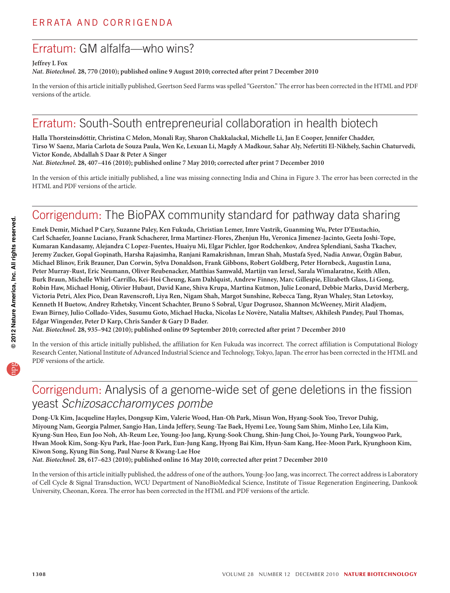# Erratum: GM alfalfa—who wins?

### **Jeffrey L Fox**

*Nat. Biotechnol.* **28, 770 (2010); published online 9 August 2010; corrected after print 7 December 2010**

In the version of this article initially published, Geertson Seed Farms was spelled "Geerston." The error has been corrected in the HTML and PDF versions of the article.

# Erratum: South-South entrepreneurial collaboration in health biotech

**Halla Thorsteinsdóttir, Christina C Melon, Monali Ray, Sharon Chakkalackal, Michelle Li, Jan E Cooper, Jennifer Chadder, Tirso W Saenz, Maria Carlota de Souza Paula, Wen Ke, Lexuan Li, Magdy A Madkour, Sahar Aly, Nefertiti El-Nikhely, Sachin Chaturvedi, Victor Konde, Abdallah S Daar & Peter A Singer**

*Nat. Biotechnol.* **28, 407–416 (2010); published online 7 May 2010; corrected after print 7 December 2010**

In the version of this article initially published, a line was missing connecting India and China in Figure 3. The error has been corrected in the HTML and PDF versions of the article.

# Corrigendum: The BioPAX community standard for pathway data sharing

**Emek Demir, Michael P Cary, Suzanne Paley, Ken Fukuda, Christian Lemer, Imre Vastrik, Guanming Wu, Peter D'Eustachio, Carl Schaefer, Joanne Luciano, Frank Schacherer, Irma Martinez-Flores, Zhenjun Hu, Veronica Jimenez-Jacinto, Geeta Joshi-Tope, Kumaran Kandasamy, Alejandra C Lopez-Fuentes, Huaiyu Mi, Elgar Pichler, Igor Rodchenkov, Andrea Splendiani, Sasha Tkachev, Jeremy Zucker, Gopal Gopinath, Harsha Rajasimha, Ranjani Ramakrishnan, Imran Shah, Mustafa Syed, Nadia Anwar, Özgün Babur, Michael Blinov, Erik Brauner, Dan Corwin, Sylva Donaldson, Frank Gibbons, Robert Goldberg, Peter Hornbeck, Augustin Luna, Peter Murray-Rust, Eric Neumann, Oliver Reubenacker, Matthias Samwald, Martijn van Iersel, Sarala Wimalaratne, Keith Allen, Burk Braun, Michelle Whirl-Carrillo, Kei-Hoi Cheung, Kam Dahlquist, Andrew Finney, Marc Gillespie, Elizabeth Glass, Li Gong, Robin Haw, Michael Honig, Olivier Hubaut, David Kane, Shiva Krupa, Martina Kutmon, Julie Leonard, Debbie Marks, David Merberg, Victoria Petri, Alex Pico, Dean Ravenscroft, Liya Ren, Nigam Shah, Margot Sunshine, Rebecca Tang, Ryan Whaley, Stan Letovksy, Kenneth H Buetow, Andrey Rzhetsky, Vincent Schachter, Bruno S Sobral, Ugur Dogrusoz, Shannon McWeeney, Mirit Aladjem, Ewan Birney, Julio Collado-Vides, Susumu Goto, Michael Hucka, Nicolas Le Novère, Natalia Maltsev, Akhilesh Pandey, Paul Thomas, Edgar Wingender, Peter D Karp, Chris Sander & Gary D Bader.**

*Nat. Biotechnol.* **28, 935–942 (2010); published online 09 September 2010; corrected after print 7 December 2010**

In the version of this article initially published, the affiliation for Ken Fukuda was incorrect. The correct affiliation is Computational Biology Research Center, National Institute of Advanced Industrial Science and Technology, Tokyo, Japan. The error has been corrected in the HTML and PDF versions of the article.

# Corrigendum: Analysis of a genome-wide set of gene deletions in the fission yeast *Schizosaccharomyces pombe*

**Dong-Uk Kim, Jacqueline Hayles, Dongsup Kim, Valerie Wood, Han-Oh Park, Misun Won, Hyang-Sook Yoo, Trevor Duhig, Miyoung Nam, Georgia Palmer, Sangjo Han, Linda Jeffery, Seung-Tae Baek, Hyemi Lee, Young Sam Shim, Minho Lee, Lila Kim, Kyung-Sun Heo, Eun Joo Noh, Ah-Reum Lee, Young-Joo Jang, Kyung-Sook Chung, Shin-Jung Choi, Jo-Young Park, Youngwoo Park, Hwan Mook Kim, Song-Kyu Park, Hae-Joon Park, Eun-Jung Kang, Hyong Bai Kim, Hyun-Sam Kang, Hee-Moon Park, Kyunghoon Kim, Kiwon Song, Kyung Bin Song, Paul Nurse & Kwang-Lae Hoe** *Nat. Biotechnol.* **28, 617–623 (2010); published online 16 May 2010; corrected after print 7 December 2010**

In the version of this article initially published, the address of one of the authors, Young-Joo Jang, was incorrect. The correct address is Laboratory of Cell Cycle & Signal Transduction, WCU Department of NanoBioMedical Science, Institute of Tissue Regeneration Engineering, Dankook University, Cheonan, Korea. The error has been corrected in the HTML and PDF versions of the article.